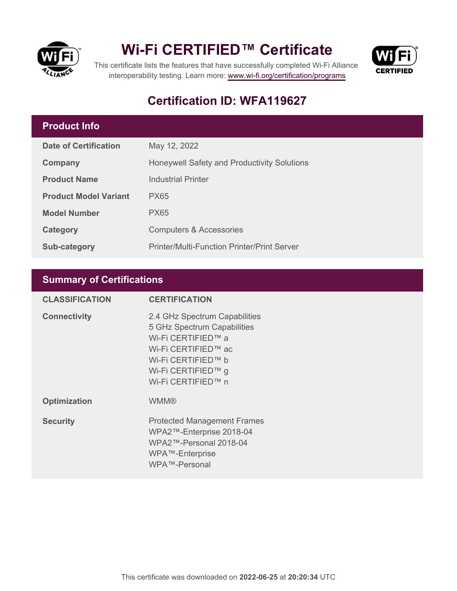

## **Wi-Fi CERTIFIED™ Certificate**



This certificate lists the features that have successfully completed Wi-Fi Alliance interoperability testing. Learn more:<www.wi-fi.org/certification/programs>

### **Certification ID: WFA119627**

#### **Product Info**

| <b>Date of Certification</b> | May 12, 2022                                       |
|------------------------------|----------------------------------------------------|
| <b>Company</b>               | Honeywell Safety and Productivity Solutions        |
| <b>Product Name</b>          | <b>Industrial Printer</b>                          |
| <b>Product Model Variant</b> | <b>PX65</b>                                        |
| <b>Model Number</b>          | <b>PX65</b>                                        |
| Category                     | <b>Computers &amp; Accessories</b>                 |
| <b>Sub-category</b>          | <b>Printer/Multi-Function Printer/Print Server</b> |

#### **Summary of Certifications**

| <b>CLASSIFICATION</b> | <b>CERTIFICATION</b>                                                                                                                                                        |
|-----------------------|-----------------------------------------------------------------------------------------------------------------------------------------------------------------------------|
| <b>Connectivity</b>   | 2.4 GHz Spectrum Capabilities<br>5 GHz Spectrum Capabilities<br>Wi-Fi CERTIFIED™ a<br>Wi-Fi CERTIFIED™ ac<br>Wi-Fi CERTIFIED™ b<br>Wi-Fi CERTIFIED™ g<br>Wi-Fi CERTIFIED™ n |
| <b>Optimization</b>   | <b>WMM®</b>                                                                                                                                                                 |
| <b>Security</b>       | <b>Protected Management Frames</b><br>WPA2™-Enterprise 2018-04<br>WPA2™-Personal 2018-04<br>WPA™-Enterprise<br>WPA™-Personal                                                |